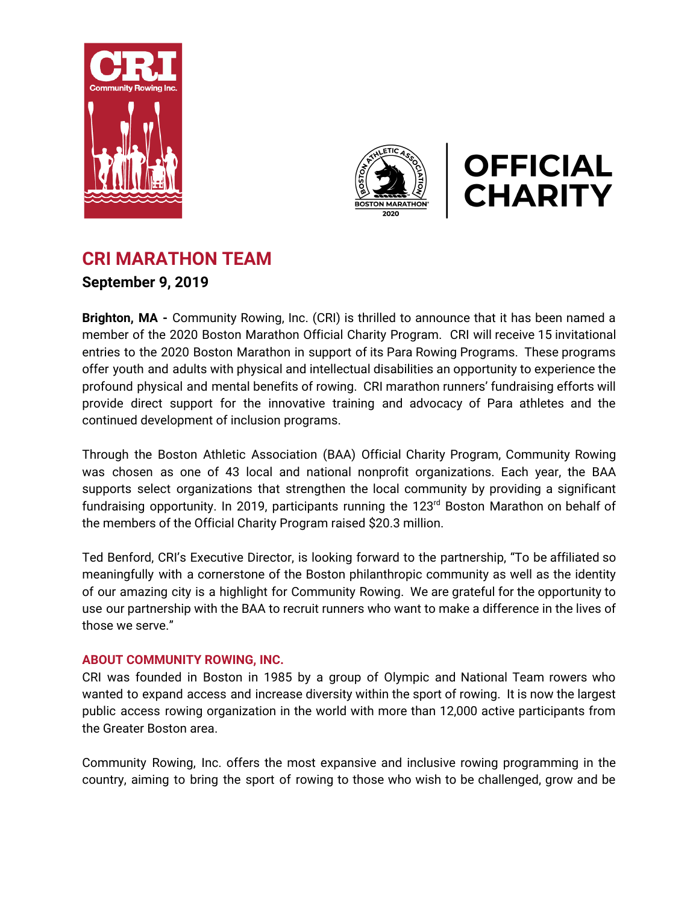





## **CRI MARATHON TEAM September 9, 2019**

**Brighton, MA -** Community Rowing, Inc. (CRI) is thrilled to announce that it has been named a member of the 2020 Boston Marathon Official Charity Program. CRI will receive 15 invitational entries to the 2020 Boston Marathon in support of its Para Rowing Programs. These programs offer youth and adults with physical and intellectual disabilities an opportunity to experience the profound physical and mental benefits of rowing. CRI marathon runners' fundraising efforts will provide direct support for the innovative training and advocacy of Para athletes and the continued development of inclusion programs.

Through the Boston Athletic Association (BAA) Official Charity Program, Community Rowing was chosen as one of 43 local and national nonprofit organizations. Each year, the BAA supports select organizations that strengthen the local community by providing a significant fundraising opportunity. In 2019, participants running the 123<sup>rd</sup> Boston Marathon on behalf of the members of the Official Charity Program raised \$20.3 million.

Ted Benford, CRI's Executive Director, is looking forward to the partnership, "To be affiliated so meaningfully with a cornerstone of the Boston philanthropic community as well as the identity of our amazing city is a highlight for Community Rowing. We are grateful for the opportunity to use our partnership with the BAA to recruit runners who want to make a difference in the lives of those we serve."

## **ABOUT COMMUNITY ROWING, INC.**

CRI was founded in Boston in 1985 by a group of Olympic and National Team rowers who wanted to expand access and increase diversity within the sport of rowing. It is now the largest public access rowing organization in the world with more than 12,000 active participants from the Greater Boston area.

Community Rowing, Inc. offers the most expansive and inclusive rowing programming in the country, aiming to bring the sport of rowing to those who wish to be challenged, grow and be